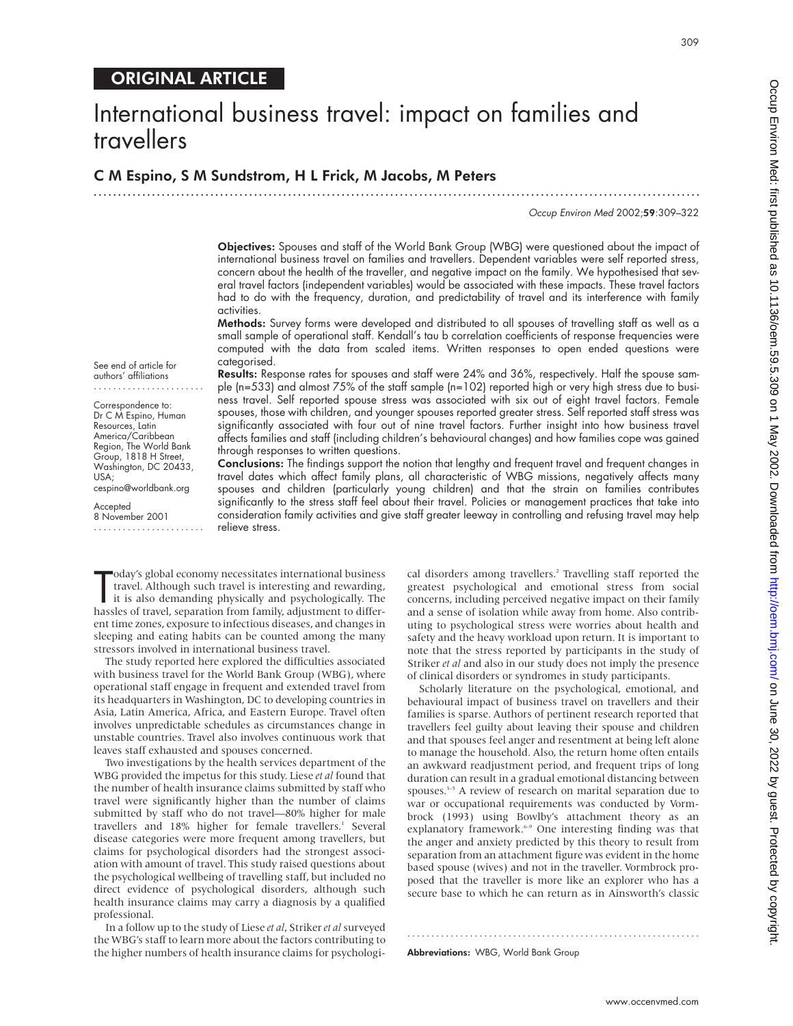# International business travel: impact on families and travellers

## C M Espino, S M Sundstrom, H L Frick, M Jacobs, M Peters

.............................................................................................................................

Occup Environ Med 2002;59:309–322

Objectives: Spouses and staff of the World Bank Group (WBG) were questioned about the impact of international business travel on families and travellers. Dependent variables were self reported stress, concern about the health of the traveller, and negative impact on the family. We hypothesised that several travel factors (independent variables) would be associated with these impacts. These travel factors had to do with the frequency, duration, and predictability of travel and its interference with family activities.

Methods: Survey forms were developed and distributed to all spouses of travelling staff as well as a small sample of operational staff. Kendall's tau b correlation coefficients of response frequencies were computed with the data from scaled items. Written responses to open ended questions were categorised.

Results: Response rates for spouses and staff were 24% and 36%, respectively. Half the spouse sample (n=533) and almost 75% of the staff sample (n=102) reported high or very high stress due to business travel. Self reported spouse stress was associated with six out of eight travel factors. Female spouses, those with children, and younger spouses reported greater stress. Self reported staff stress was significantly associated with four out of nine travel factors. Further insight into how business travel affects families and staff (including children's behavioural changes) and how families cope was gained through responses to written questions.

Conclusions: The findings support the notion that lengthy and frequent travel and frequent changes in travel dates which affect family plans, all characteristic of WBG missions, negatively affects many spouses and children (particularly young children) and that the strain on families contributes significantly to the stress staff feel about their travel. Policies or management practices that take into consideration family activities and give staff greater leeway in controlling and refusing travel may help relieve stress.

See end of article for authors' affiliations .......................

Correspondence to: Dr C M Espino, Human Resources, Latin America/Caribbean Region, The World Bank Group, 1818 H Street, Washington, DC 20433, USA; cespino@worldbank.org

Accepted 8 November 2001 .......................

> oday's global economy necessitates international business travel. Although such travel is interesting and rewarding,

oday's global economy necessitates international business<br>travel. Although such travel is interesting and rewarding,<br>it is also demanding physically and psychologically. The<br>hassles of travel, separation from family, adjus it is also demanding physically and psychologically. The ent time zones, exposure to infectious diseases, and changes in sleeping and eating habits can be counted among the many stressors involved in international business travel.

The study reported here explored the difficulties associated with business travel for the World Bank Group (WBG), where operational staff engage in frequent and extended travel from its headquarters in Washington, DC to developing countries in Asia, Latin America, Africa, and Eastern Europe. Travel often involves unpredictable schedules as circumstances change in unstable countries. Travel also involves continuous work that leaves staff exhausted and spouses concerned.

Two investigations by the health services department of the WBG provided the impetus for this study. Liese *et al* found that the number of health insurance claims submitted by staff who travel were significantly higher than the number of claims submitted by staff who do not travel—80% higher for male travellers and 18% higher for female travellers.<sup>1</sup> Several disease categories were more frequent among travellers, but claims for psychological disorders had the strongest association with amount of travel. This study raised questions about the psychological wellbeing of travelling staff, but included no direct evidence of psychological disorders, although such health insurance claims may carry a diagnosis by a qualified professional.

In a follow up to the study of Liese *et al*, Striker *et al* surveyed the WBG's staff to learn more about the factors contributing to the higher numbers of health insurance claims for psychological disorders among travellers.<sup>2</sup> Travelling staff reported the greatest psychological and emotional stress from social concerns, including perceived negative impact on their family and a sense of isolation while away from home. Also contributing to psychological stress were worries about health and safety and the heavy workload upon return. It is important to note that the stress reported by participants in the study of Striker *et al* and also in our study does not imply the presence of clinical disorders or syndromes in study participants.

Scholarly literature on the psychological, emotional, and behavioural impact of business travel on travellers and their families is sparse. Authors of pertinent research reported that travellers feel guilty about leaving their spouse and children and that spouses feel anger and resentment at being left alone to manage the household. Also, the return home often entails an awkward readjustment period, and frequent trips of long duration can result in a gradual emotional distancing between spouses.<sup>3-5</sup> A review of research on marital separation due to war or occupational requirements was conducted by Vormbrock (1993) using Bowlby's attachment theory as an explanatory framework.<sup>6-9</sup> One interesting finding was that the anger and anxiety predicted by this theory to result from separation from an attachment figure was evident in the home based spouse (wives) and not in the traveller. Vormbrock proposed that the traveller is more like an explorer who has a secure base to which he can return as in Ainsworth's classic

.............................................................

Abbreviations: WBG, World Bank Group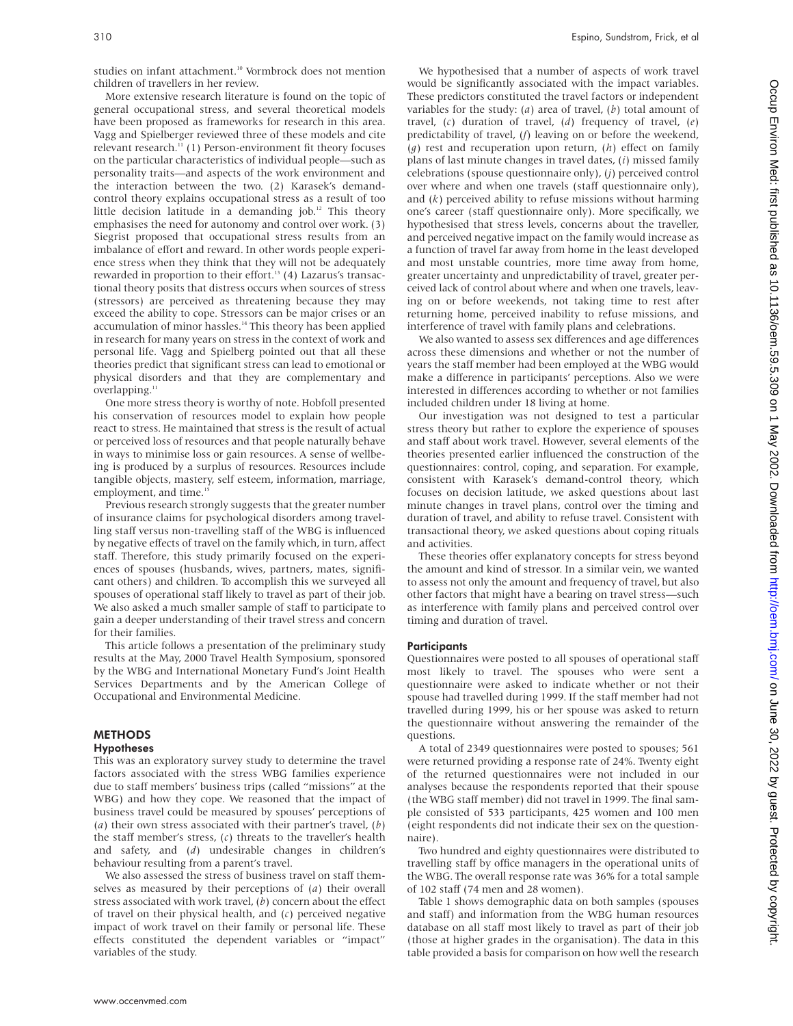studies on infant attachment.<sup>10</sup> Vormbrock does not mention children of travellers in her review.

More extensive research literature is found on the topic of general occupational stress, and several theoretical models have been proposed as frameworks for research in this area. Vagg and Spielberger reviewed three of these models and cite relevant research.<sup>11</sup> (1) Person-environment fit theory focuses on the particular characteristics of individual people—such as personality traits—and aspects of the work environment and the interaction between the two. (2) Karasek's demandcontrol theory explains occupational stress as a result of too little decision latitude in a demanding job. $12$  This theory emphasises the need for autonomy and control over work. (3) Siegrist proposed that occupational stress results from an imbalance of effort and reward. In other words people experience stress when they think that they will not be adequately rewarded in proportion to their effort.<sup>13</sup> (4) Lazarus's transactional theory posits that distress occurs when sources of stress (stressors) are perceived as threatening because they may exceed the ability to cope. Stressors can be major crises or an accumulation of minor hassles.<sup>14</sup> This theory has been applied in research for many years on stress in the context of work and personal life. Vagg and Spielberg pointed out that all these theories predict that significant stress can lead to emotional or physical disorders and that they are complementary and overlapping.<sup>11</sup>

One more stress theory is worthy of note. Hobfoll presented his conservation of resources model to explain how people react to stress. He maintained that stress is the result of actual or perceived loss of resources and that people naturally behave in ways to minimise loss or gain resources. A sense of wellbeing is produced by a surplus of resources. Resources include tangible objects, mastery, self esteem, information, marriage, employment, and time.<sup>15</sup>

Previous research strongly suggests that the greater number of insurance claims for psychological disorders among travelling staff versus non-travelling staff of the WBG is influenced by negative effects of travel on the family which, in turn, affect staff. Therefore, this study primarily focused on the experiences of spouses (husbands, wives, partners, mates, significant others) and children. To accomplish this we surveyed all spouses of operational staff likely to travel as part of their job. We also asked a much smaller sample of staff to participate to gain a deeper understanding of their travel stress and concern for their families.

This article follows a presentation of the preliminary study results at the May, 2000 Travel Health Symposium, sponsored by the WBG and International Monetary Fund's Joint Health Services Departments and by the American College of Occupational and Environmental Medicine.

### **METHODS**

### Hypotheses

This was an exploratory survey study to determine the travel factors associated with the stress WBG families experience due to staff members' business trips (called "missions" at the WBG) and how they cope. We reasoned that the impact of business travel could be measured by spouses' perceptions of (*a*) their own stress associated with their partner's travel, (*b*) the staff member's stress, (*c*) threats to the traveller's health and safety, and (*d*) undesirable changes in children's behaviour resulting from a parent's travel.

We also assessed the stress of business travel on staff themselves as measured by their perceptions of (*a*) their overall stress associated with work travel, (*b*) concern about the effect of travel on their physical health, and (*c*) perceived negative impact of work travel on their family or personal life. These effects constituted the dependent variables or "impact" variables of the study.

We hypothesised that a number of aspects of work travel would be significantly associated with the impact variables. These predictors constituted the travel factors or independent variables for the study: (*a*) area of travel, (*b*) total amount of travel, (*c*) duration of travel, (*d*) frequency of travel, (*e*) predictability of travel, (*f*) leaving on or before the weekend, (*g*) rest and recuperation upon return, (*h*) effect on family plans of last minute changes in travel dates, (*i*) missed family celebrations (spouse questionnaire only), (*j*) perceived control over where and when one travels (staff questionnaire only), and (*k*) perceived ability to refuse missions without harming one's career (staff questionnaire only). More specifically, we hypothesised that stress levels, concerns about the traveller, and perceived negative impact on the family would increase as a function of travel far away from home in the least developed and most unstable countries, more time away from home, greater uncertainty and unpredictability of travel, greater perceived lack of control about where and when one travels, leaving on or before weekends, not taking time to rest after returning home, perceived inability to refuse missions, and interference of travel with family plans and celebrations.

We also wanted to assess sex differences and age differences across these dimensions and whether or not the number of years the staff member had been employed at the WBG would make a difference in participants' perceptions. Also we were interested in differences according to whether or not families included children under 18 living at home.

Our investigation was not designed to test a particular stress theory but rather to explore the experience of spouses and staff about work travel. However, several elements of the theories presented earlier influenced the construction of the questionnaires: control, coping, and separation. For example, consistent with Karasek's demand-control theory, which focuses on decision latitude, we asked questions about last minute changes in travel plans, control over the timing and duration of travel, and ability to refuse travel. Consistent with transactional theory, we asked questions about coping rituals and activities.

These theories offer explanatory concepts for stress beyond the amount and kind of stressor. In a similar vein, we wanted to assess not only the amount and frequency of travel, but also other factors that might have a bearing on travel stress—such as interference with family plans and perceived control over timing and duration of travel.

#### **Participants**

Questionnaires were posted to all spouses of operational staff most likely to travel. The spouses who were sent a questionnaire were asked to indicate whether or not their spouse had travelled during 1999. If the staff member had not travelled during 1999, his or her spouse was asked to return the questionnaire without answering the remainder of the questions.

A total of 2349 questionnaires were posted to spouses; 561 were returned providing a response rate of 24%. Twenty eight of the returned questionnaires were not included in our analyses because the respondents reported that their spouse (the WBG staff member) did not travel in 1999. The final sample consisted of 533 participants, 425 women and 100 men (eight respondents did not indicate their sex on the questionnaire).

Two hundred and eighty questionnaires were distributed to travelling staff by office managers in the operational units of the WBG. The overall response rate was 36% for a total sample of 102 staff (74 men and 28 women).

Table 1 shows demographic data on both samples (spouses and staff) and information from the WBG human resources database on all staff most likely to travel as part of their job (those at higher grades in the organisation). The data in this table provided a basis for comparison on how well the research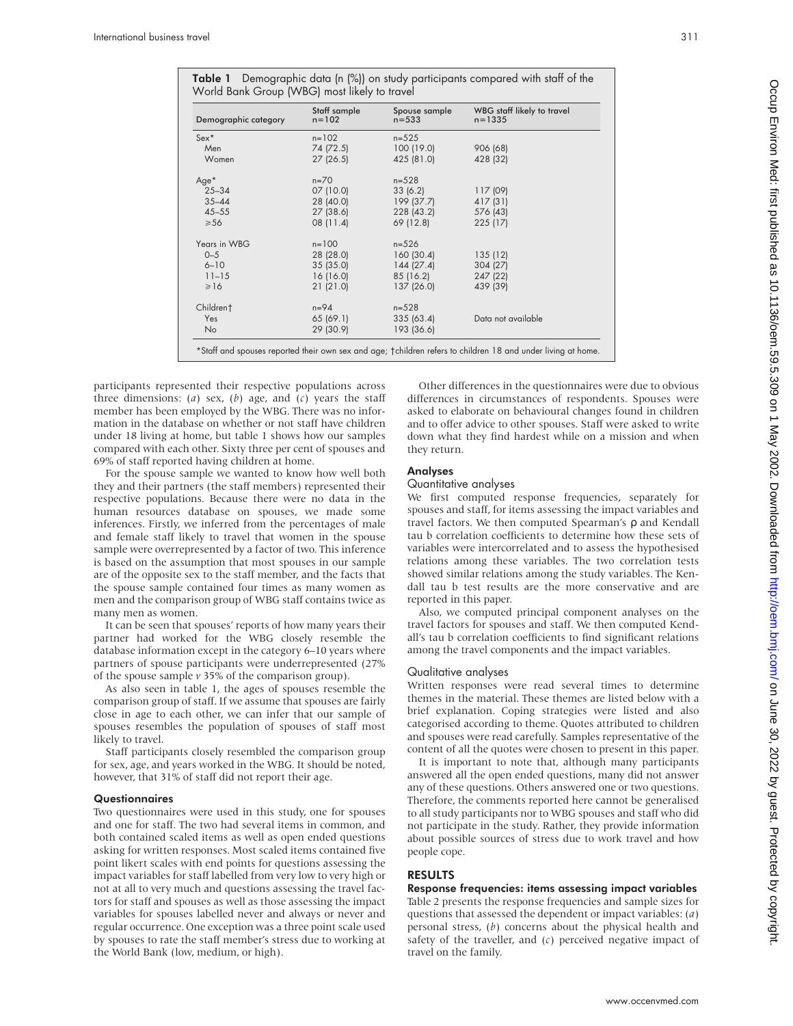| Demographic category  | Staff sample<br>$n = 102$ | Spouse sample<br>$n = 533$ | WBG staff likely to travel<br>$n = 1335$ |
|-----------------------|---------------------------|----------------------------|------------------------------------------|
| $Sex*$                | $n = 102$                 | $n = 525$                  |                                          |
| Men                   | 74 (72.5)                 | 100(19.0)                  | 906 (68)                                 |
| Women                 | 27(26.5)                  | 425 (81.0)                 | 428 (32)                                 |
| Age*                  | $n = 70$                  | $n = 528$                  |                                          |
| $25 - 34$             | 07 (10.0)                 | 33(6.2)                    | 117 (09)                                 |
| $35 - 44$             | 28 (40.0)                 | 199 (37.7)                 | 417 (31)                                 |
| $45 - 55$             | 27(38.6)                  | 228 (43.2)                 | 576 (43)                                 |
| $\geqslant 56$        | 08 (11.4)                 | 69 (12.8)                  | 225 (17)                                 |
| Years in WBG          | $n = 100$                 | $n = 526$                  |                                          |
| $0 - 5$               | 28 (28.0)                 | 160(30.4)                  | 135(12)                                  |
| $6 - 10$              | 35(35.0)                  | 144(27.4)                  | 304 (27)                                 |
| $11 - 15$             | 16(16.0)                  | 85 (16.2)                  | 247 (22)                                 |
| $\geq 16$             | 21(21.0)                  | 137 (26.0)                 | 439 (39)                                 |
| Children <sup>+</sup> | $n = 94$                  | $n = 528$                  |                                          |
| Yes                   | 65 (69.1)                 | 335(63.4)                  | Data not available                       |
| No                    | 29 (30.9)                 | 193 (36.6)                 |                                          |

participants represented their respective populations across three dimensions: (*a*) sex, (*b*) age, and (*c*) years the staff member has been employed by the WBG. There was no information in the database on whether or not staff have children under 18 living at home, but table 1 shows how our samples compared with each other. Sixty three per cent of spouses and 69% of staff reported having children at home.

For the spouse sample we wanted to know how well both they and their partners (the staff members) represented their respective populations. Because there were no data in the human resources database on spouses, we made some inferences. Firstly, we inferred from the percentages of male and female staff likely to travel that women in the spouse sample were overrepresented by a factor of two. This inference is based on the assumption that most spouses in our sample are of the opposite sex to the staff member, and the facts that the spouse sample contained four times as many women as men and the comparison group of WBG staff contains twice as many men as women.

It can be seen that spouses' reports of how many years their partner had worked for the WBG closely resemble the database information except in the category 6–10 years where partners of spouse participants were underrepresented (27% of the spouse sample *v* 35% of the comparison group).

As also seen in table 1, the ages of spouses resemble the comparison group of staff. If we assume that spouses are fairly close in age to each other, we can infer that our sample of spouses resembles the population of spouses of staff most likely to travel.

Staff participants closely resembled the comparison group for sex, age, and years worked in the WBG. It should be noted, however, that 31% of staff did not report their age.

#### Questionnaires

Two questionnaires were used in this study, one for spouses and one for staff. The two had several items in common, and both contained scaled items as well as open ended questions asking for written responses. Most scaled items contained five point likert scales with end points for questions assessing the impact variables for staff labelled from very low to very high or not at all to very much and questions assessing the travel factors for staff and spouses as well as those assessing the impact variables for spouses labelled never and always or never and regular occurrence. One exception was a three point scale used by spouses to rate the staff member's stress due to working at the World Bank (low, medium, or high).

Other differences in the questionnaires were due to obvious differences in circumstances of respondents. Spouses were asked to elaborate on behavioural changes found in children and to offer advice to other spouses. Staff were asked to write down what they find hardest while on a mission and when they return.

#### Analyses

#### Quantitative analyses

We first computed response frequencies, separately for spouses and staff, for items assessing the impact variables and travel factors. We then computed Spearman's ρ and Kendall tau b correlation coefficients to determine how these sets of variables were intercorrelated and to assess the hypothesised relations among these variables. The two correlation tests showed similar relations among the study variables. The Kendall tau b test results are the more conservative and are reported in this paper.

Also, we computed principal component analyses on the travel factors for spouses and staff. We then computed Kendall's tau b correlation coefficients to find significant relations among the travel components and the impact variables.

#### Qualitative analyses

Written responses were read several times to determine themes in the material. These themes are listed below with a brief explanation. Coping strategies were listed and also categorised according to theme. Quotes attributed to children and spouses were read carefully. Samples representative of the content of all the quotes were chosen to present in this paper.

It is important to note that, although many participants answered all the open ended questions, many did not answer any of these questions. Others answered one or two questions. Therefore, the comments reported here cannot be generalised to all study participants nor to WBG spouses and staff who did not participate in the study. Rather, they provide information about possible sources of stress due to work travel and how people cope.

#### RESULTS

#### Response frequencies: items assessing impact variables

Table 2 presents the response frequencies and sample sizes for questions that assessed the dependent or impact variables: (*a*) personal stress, (*b*) concerns about the physical health and safety of the traveller, and  $(c)$  perceived negative impact of travel on the family.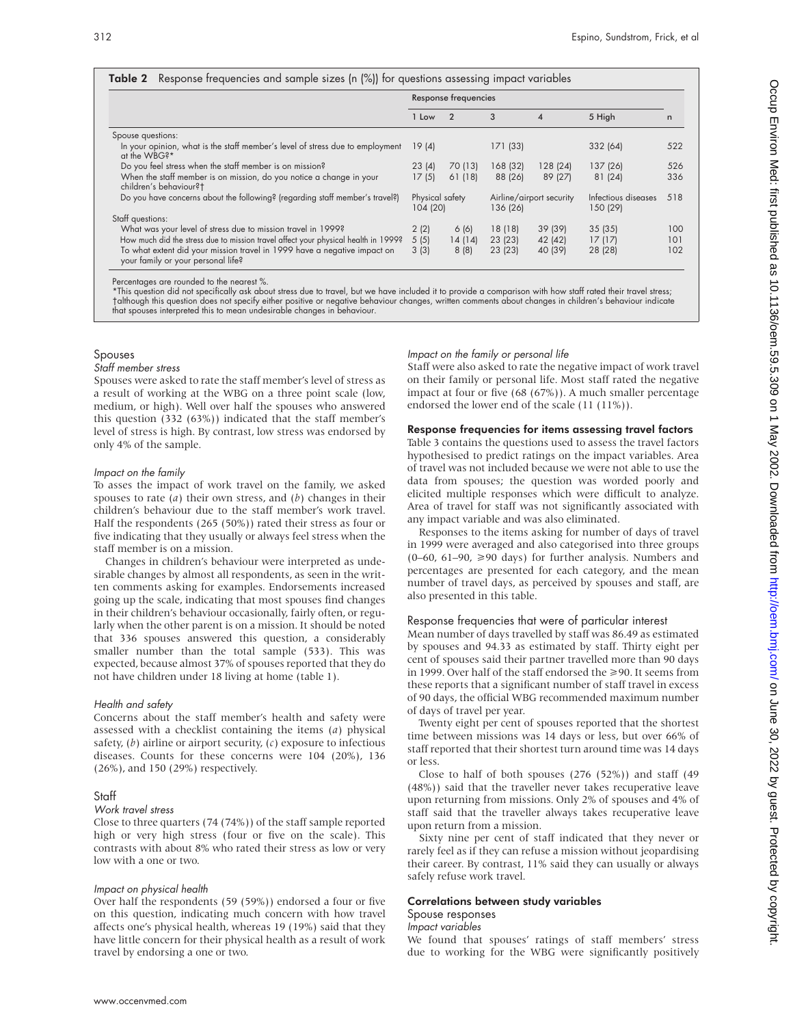### Table 2 Response frequencies and sample sizes (n (%)) for questions assessing impact variables

|                                                                                                                |                             | Response frequencies |          |                          |                                 |     |
|----------------------------------------------------------------------------------------------------------------|-----------------------------|----------------------|----------|--------------------------|---------------------------------|-----|
|                                                                                                                | 1 Low                       | $\overline{2}$       | 3        | $\overline{4}$           | 5 High                          | n   |
| Spouse questions:                                                                                              |                             |                      |          |                          |                                 |     |
| In your opinion, what is the staff member's level of stress due to employment<br>at the WBG?*                  | 19(4)                       |                      | 171 (33) |                          | 332 (64)                        | 522 |
| Do you feel stress when the staff member is on mission?                                                        | 23(4)                       | 70 (13)              | 168 (32) | 128(24)                  | 137 (26)                        | 526 |
| When the staff member is on mission, do you notice a change in your<br>children's behaviour? <sup>†</sup>      | 17(5)                       | 61(18)               | 88 (26)  | 89 (27)                  | 81(24)                          | 336 |
| Do you have concerns about the following? (regarding staff member's travel?)                                   | Physical safety<br>104 (20) |                      | 136 (26) | Airline/airport security | Infectious diseases<br>150 (29) | 518 |
| Staff questions:                                                                                               |                             |                      |          |                          |                                 |     |
| What was your level of stress due to mission travel in 1999?                                                   | 2(2)                        | 6(6)                 | 18(18)   | 39 (39)                  | 35(35)                          | 100 |
| How much did the stress due to mission travel affect your physical health in 1999?                             | 5(5)                        | 14(14)               | 23(23)   | 42 (42)                  | 17(17)                          | 101 |
| To what extent did your mission travel in 1999 have a negative impact on<br>your family or your personal life? | 3(3)                        | 8(8)                 | 23 (23)  | 40 (39)                  | 28 (28)                         | 102 |

Percentages are rounded to the nearest %.

\*This question did not specifically ask about stress due to travel, but we have included it to provide a comparison with how staff rated their travel stress; †although this question does not specify either positive or negative behaviour changes, written comments about changes in children's behaviour indicate<br>that spouses interpreted this to mean undesirable changes in behaviour

#### Spouses

#### Staff member stress

Spouses were asked to rate the staff member's level of stress as a result of working at the WBG on a three point scale (low, medium, or high). Well over half the spouses who answered this question (332 (63%)) indicated that the staff member's level of stress is high. By contrast, low stress was endorsed by only 4% of the sample.

#### Impact on the family

To asses the impact of work travel on the family, we asked spouses to rate (*a*) their own stress, and (*b*) changes in their children's behaviour due to the staff member's work travel. Half the respondents (265 (50%)) rated their stress as four or five indicating that they usually or always feel stress when the staff member is on a mission.

Changes in children's behaviour were interpreted as undesirable changes by almost all respondents, as seen in the written comments asking for examples. Endorsements increased going up the scale, indicating that most spouses find changes in their children's behaviour occasionally, fairly often, or regularly when the other parent is on a mission. It should be noted that 336 spouses answered this question, a considerably smaller number than the total sample (533). This was expected, because almost 37% of spouses reported that they do not have children under 18 living at home (table 1).

### Health and safety

Concerns about the staff member's health and safety were assessed with a checklist containing the items (*a*) physical safety, (*b*) airline or airport security, (*c*) exposure to infectious diseases. Counts for these concerns were 104 (20%), 136 (26%), and 150 (29%) respectively.

### **Staff**

#### Work travel stress

Close to three quarters (74 (74%)) of the staff sample reported high or very high stress (four or five on the scale). This contrasts with about 8% who rated their stress as low or very low with a one or two.

### Impact on <sup>p</sup>hysical health

Over half the respondents (59 (59%)) endorsed a four or five on this question, indicating much concern with how travel affects one's physical health, whereas 19 (19%) said that they have little concern for their physical health as a result of work travel by endorsing a one or two.

### Impact on the family or personal life

Staff were also asked to rate the negative impact of work travel on their family or personal life. Most staff rated the negative impact at four or five (68 (67%)). A much smaller percentage endorsed the lower end of the scale (11 (11%)).

### Response frequencies for items assessing travel factors

Table 3 contains the questions used to assess the travel factors hypothesised to predict ratings on the impact variables. Area of travel was not included because we were not able to use the data from spouses; the question was worded poorly and elicited multiple responses which were difficult to analyze. Area of travel for staff was not significantly associated with any impact variable and was also eliminated.

Responses to the items asking for number of days of travel in 1999 were averaged and also categorised into three groups  $(0-60, 61-90, \geq 90 \text{ days})$  for further analysis. Numbers and percentages are presented for each category, and the mean number of travel days, as perceived by spouses and staff, are also presented in this table.

### Response frequencies that were of particular interest

Mean number of days travelled by staff was 86.49 as estimated by spouses and 94.33 as estimated by staff. Thirty eight per cent of spouses said their partner travelled more than 90 days in 1999. Over half of the staff endorsed the  $\geq 90$ . It seems from these reports that a significant number of staff travel in excess of 90 days, the official WBG recommended maximum number of days of travel per year.

Twenty eight per cent of spouses reported that the shortest time between missions was 14 days or less, but over 66% of staff reported that their shortest turn around time was 14 days or less.

Close to half of both spouses (276 (52%)) and staff (49 (48%)) said that the traveller never takes recuperative leave upon returning from missions. Only 2% of spouses and 4% of staff said that the traveller always takes recuperative leave upon return from a mission.

Sixty nine per cent of staff indicated that they never or rarely feel as if they can refuse a mission without jeopardising their career. By contrast, 11% said they can usually or always safely refuse work travel.

### Correlations between study variables

### Spouse responses

Impact variables

We found that spouses' ratings of staff members' stress due to working for the WBG were significantly positively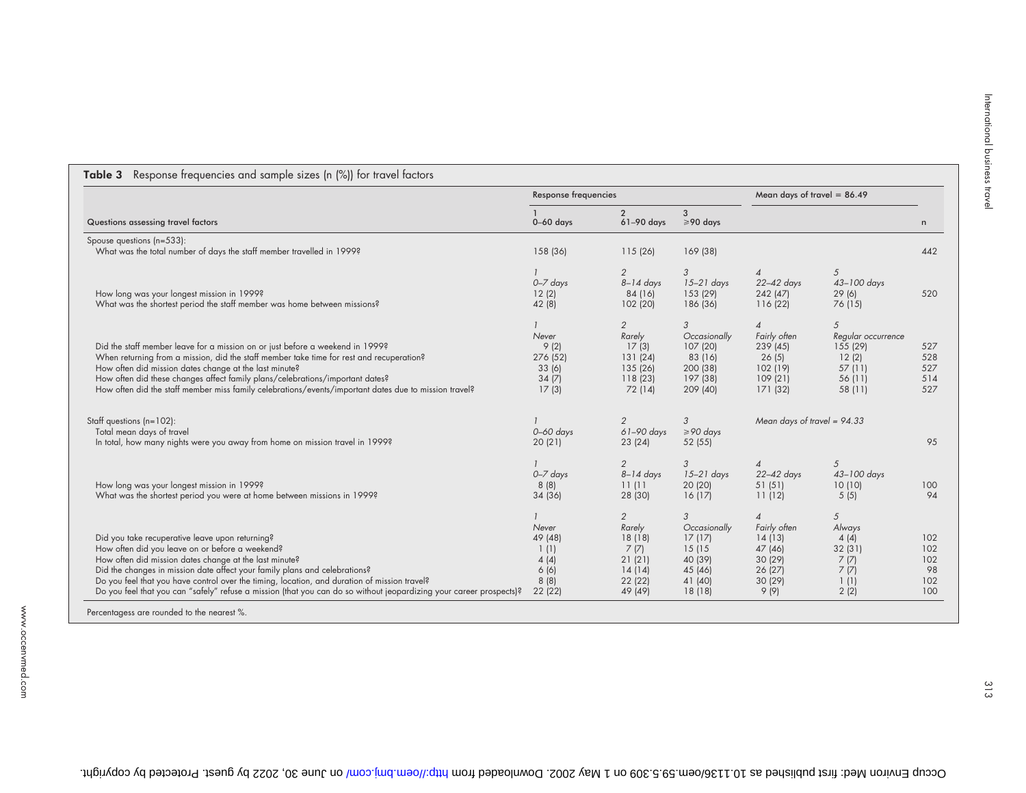|                                                                                                                                                                                                                                                                                                                                                                                                                                                                   | Response frequencies                                        |                                                                                      |                                                                                   | Mean days of travel = $86.49$                                                              |                                                                             |                                       |
|-------------------------------------------------------------------------------------------------------------------------------------------------------------------------------------------------------------------------------------------------------------------------------------------------------------------------------------------------------------------------------------------------------------------------------------------------------------------|-------------------------------------------------------------|--------------------------------------------------------------------------------------|-----------------------------------------------------------------------------------|--------------------------------------------------------------------------------------------|-----------------------------------------------------------------------------|---------------------------------------|
| Questions assessing travel factors                                                                                                                                                                                                                                                                                                                                                                                                                                | $0 - 60$ days                                               | $\overline{2}$<br>$61-90$ days                                                       | 3<br>$\geqslant$ 90 days                                                          |                                                                                            |                                                                             | n                                     |
| Spouse questions (n=533):<br>What was the total number of days the staff member travelled in 1999?                                                                                                                                                                                                                                                                                                                                                                | 158 (36)                                                    | 115(26)                                                                              | 169 (38)                                                                          |                                                                                            |                                                                             | 442                                   |
| How long was your longest mission in 1999?<br>What was the shortest period the staff member was home between missions?                                                                                                                                                                                                                                                                                                                                            | $0 - 7$ days<br>12(2)<br>42(8)                              | $\overline{2}$<br>$8 - 14$ days<br>84 (16)<br>102(20)                                | 3<br>$15-21$ days<br>153 (29)<br>186 (36)                                         | $\overline{4}$<br>22-42 days<br>242 (47)<br>116(22)                                        | 5<br>43-100 days<br>29(6)<br>76 (15)                                        | 520                                   |
| Did the staff member leave for a mission on or just before a weekend in 1999?<br>When returning from a mission, did the staff member take time for rest and recuperation?<br>How often did mission dates change at the last minute?<br>How often did these changes affect family plans/celebrations/important dates?<br>How often did the staff member miss family celebrations/events/important dates due to mission travel?                                     | Never<br>9(2)<br>276 (52)<br>33(6)<br>34(7)<br>17(3)        | $\overline{2}$<br>Rarely<br>17(3)<br>131(24)<br>135 (26)<br>118(23)<br>72 (14)       | 3<br>Occasionally<br>107 (20)<br>83 (16)<br>200 (38)<br>197 (38)<br>209 (40)      | $\overline{4}$<br>Fairly often<br>239(45)<br>26(5)<br>102 (19)<br>109(21)<br>171(32)       | 5<br>Regular occurrence<br>155(29)<br>12(2)<br>57(11)<br>56 (11)<br>58 (11) | 527<br>528<br>527<br>514<br>527       |
| Staff questions (n=102):<br>Total mean days of travel<br>In total, how many nights were you away from home on mission travel in 1999?                                                                                                                                                                                                                                                                                                                             | $0 - 60$ days<br>20(21)                                     | $\overline{2}$<br>$61-90$ days<br>23(24)                                             | 3<br>$\geqslant$ 90 days<br>52(55)                                                | Mean days of travel = $94.33$                                                              |                                                                             | 95                                    |
| How long was your longest mission in 1999?<br>What was the shortest period you were at home between missions in 1999?                                                                                                                                                                                                                                                                                                                                             | $0 - 7$ days<br>8(8)<br>34 (36)                             | $\overline{2}$<br>$8 - 14$ days<br>11(11)<br>28 (30)                                 | 3<br>$15-21$ days<br>20 (20)<br>16(17)                                            | $\overline{4}$<br>$22 - 42$ days<br>51(51)<br>11(12)                                       | 5<br>43-100 days<br>10(10)<br>5(5)                                          | 100<br>94                             |
| Did you take recuperative leave upon returning?<br>How often did you leave on or before a weekend?<br>How often did mission dates change at the last minute?<br>Did the changes in mission date affect your family plans and celebrations?<br>Do you feel that you have control over the timing, location, and duration of mission travel?<br>Do you feel that you can "safely" refuse a mission (that you can do so without jeopardizing your career prospects)? | Never<br>49 (48)<br>1(1)<br>4(4)<br>6(6)<br>8(8)<br>22 (22) | $\overline{2}$<br>Rarely<br>18(18)<br>7(7)<br>21(21)<br>14(14)<br>22 (22)<br>49 (49) | 3<br>Occasionally<br>17(17)<br>15(15)<br>40 (39)<br>45 (46)<br>41 (40)<br>18 (18) | $\overline{4}$<br>Fairly often<br>14(13)<br>47 (46)<br>30(29)<br>26 (27)<br>30(29)<br>9(9) | 5<br>Always<br>4(4)<br>32(31)<br>7(7)<br>7(7)<br>1(1)<br>2(2)               | 102<br>102<br>102<br>98<br>102<br>100 |

www.occenvmed.com www.occenvmed.com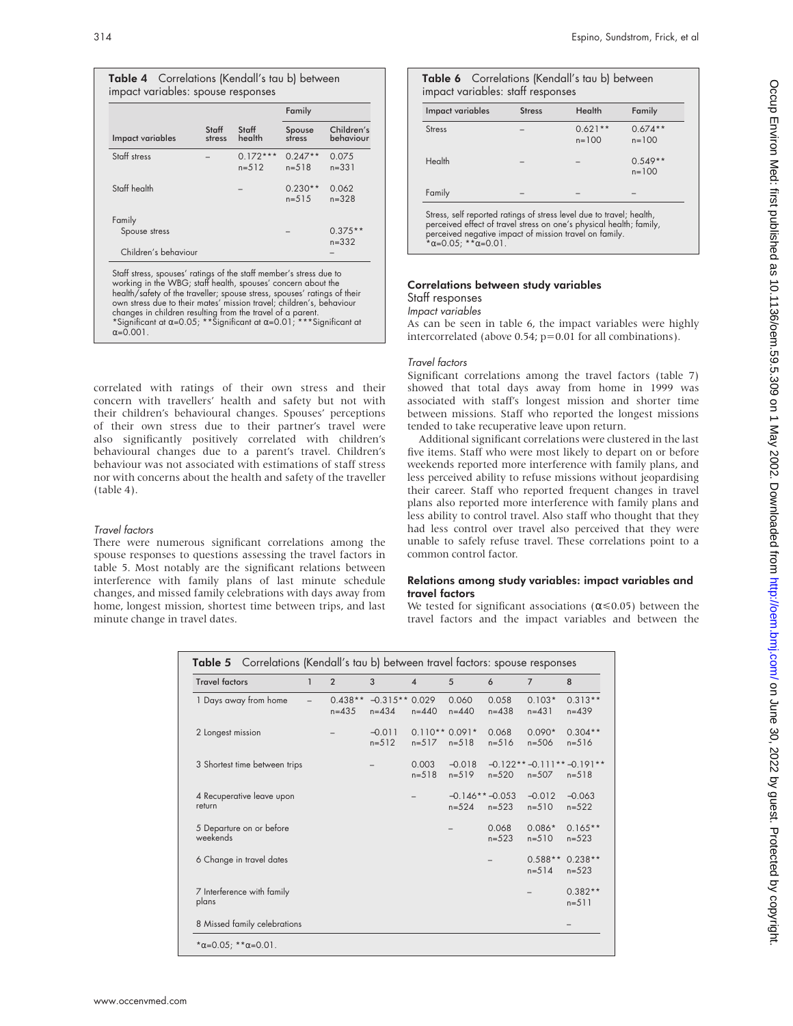| <b>Table 4</b> Correlations (Kendall's tau b) between<br>impact variables: spouse responses |                 |                         |                        |                         |  |  |
|---------------------------------------------------------------------------------------------|-----------------|-------------------------|------------------------|-------------------------|--|--|
|                                                                                             |                 |                         | Family                 |                         |  |  |
| Impact variables                                                                            | Staff<br>stress | Staff<br>health         | Spouse<br>stress       | Children's<br>behaviour |  |  |
| Staff stress                                                                                |                 | $0.172***$<br>$n = 512$ | $0.247**$<br>$n = 518$ | 0.075<br>$n = 331$      |  |  |
| Staff health                                                                                |                 |                         | $0.230**$<br>$n = 515$ | 0.062<br>$n = 328$      |  |  |
| Family<br>Spouse stress                                                                     |                 |                         |                        | $0.375**$<br>$n = 332$  |  |  |
| Children's behaviour                                                                        |                 |                         |                        |                         |  |  |

Staff stress, spouses' ratings of the staff member's stress due to working in the WBG; staff health, spouses' concern about the health/safety of the traveller; spouse stress, spouses' ratings of their own stress due to their mates' mission travel; children's, behaviour changes in children resulting from the travel of a parent. \*Significant at α=0.05; \*\*Significant at α=0.01; \*\*\*Significant at  $α=0.001$ .

correlated with ratings of their own stress and their concern with travellers' health and safety but not with their children's behavioural changes. Spouses' perceptions of their own stress due to their partner's travel were also significantly positively correlated with children's behavioural changes due to a parent's travel. Children's behaviour was not associated with estimations of staff stress nor with concerns about the health and safety of the traveller (table 4).

#### Travel factors

There were numerous significant correlations among the spouse responses to questions assessing the travel factors in table 5. Most notably are the significant relations between interference with family plans of last minute schedule changes, and missed family celebrations with days away from home, longest mission, shortest time between trips, and last minute change in travel dates.

| Impact variables                                                                                                                                                                                                                            | <b>Stress</b> | <b>Health</b>          | Family                 |
|---------------------------------------------------------------------------------------------------------------------------------------------------------------------------------------------------------------------------------------------|---------------|------------------------|------------------------|
| <b>Stress</b>                                                                                                                                                                                                                               |               | $0.621**$<br>$n = 100$ | $0.674**$<br>$n = 100$ |
| Health                                                                                                                                                                                                                                      |               |                        | $0.549**$<br>$n = 100$ |
| Family                                                                                                                                                                                                                                      |               |                        |                        |
| Stress, self reported ratings of stress level due to travel; health,<br>perceived effect of travel stress on one's physical health; family,<br>perceived negative impact of mission travel on family.<br>$*\alpha = 0.05; **\alpha = 0.01.$ |               |                        |                        |

As can be seen in table 6, the impact variables were highly intercorrelated (above 0.54; p=0.01 for all combinations).

### Travel factors

Significant correlations among the travel factors (table 7) showed that total days away from home in 1999 was associated with staff's longest mission and shorter time between missions. Staff who reported the longest missions tended to take recuperative leave upon return.

Additional significant correlations were clustered in the last five items. Staff who were most likely to depart on or before weekends reported more interference with family plans, and less perceived ability to refuse missions without jeopardising their career. Staff who reported frequent changes in travel plans also reported more interference with family plans and less ability to control travel. Also staff who thought that they had less control over travel also perceived that they were unable to safely refuse travel. These correlations point to a common control factor.

### Relations among study variables: impact variables and travel factors

We tested for significant associations ( $\alpha \le 0.05$ ) between the travel factors and the impact variables and between the

| Table 5 Correlations (Kendall's tau b) between travel factors: spouse responses |              |                        |                              |                              |                               |                    |                               |                                         |
|---------------------------------------------------------------------------------|--------------|------------------------|------------------------------|------------------------------|-------------------------------|--------------------|-------------------------------|-----------------------------------------|
| <b>Travel factors</b>                                                           | $\mathbf{1}$ | $\overline{2}$         | 3                            | $\overline{\mathbf{4}}$      | 5                             | 6                  | $\overline{7}$                | 8                                       |
| 1 Days away from home                                                           |              | $0.438**$<br>$n = 435$ | $-0.315**0.029$<br>$n = 434$ | $n = 440$                    | 0.060<br>$n = 440$            | 0.058<br>$n = 438$ | $0.103*$<br>$n = 431$         | $0.313**$<br>$n = 439$                  |
| 2 Longest mission                                                               |              |                        | $-0.011$<br>$n = 512$        | $0.110**0.091*$<br>$n = 517$ | $n = 518$                     | 0.068<br>$n = 516$ | $0.090*$<br>$n = 506$         | $0.304**$<br>$n = 516$                  |
| 3 Shortest time between trips                                                   |              |                        |                              | 0.003<br>$n = 518$           | $-0.018$<br>$n = 519$         | $n = 520$          | $n = 507$                     | $-0.122**-0.111**-0.191**$<br>$n = 518$ |
| 4 Recuperative leave upon<br>return                                             |              |                        |                              |                              | $-0.146**-0.053$<br>$n = 524$ | $n = 523$          | $-0.012$<br>$n = 510$         | $-0.063$<br>$n = 522$                   |
| 5 Departure on or before<br>weekends                                            |              |                        |                              |                              |                               | 0.068<br>$n = 523$ | $0.086*$<br>$n = 510$         | $0.165**$<br>$n = 523$                  |
| 6 Change in travel dates                                                        |              |                        |                              |                              |                               |                    | $0.588**0.238**$<br>$n = 514$ | $n = 523$                               |
| 7 Interference with family<br>plans                                             |              |                        |                              |                              |                               |                    |                               | $0.382**$<br>$n = 511$                  |
| 8 Missed family celebrations                                                    |              |                        |                              |                              |                               |                    |                               | $\qquad \qquad -$                       |
| $*\alpha = 0.05; **\alpha = 0.01.$                                              |              |                        |                              |                              |                               |                    |                               |                                         |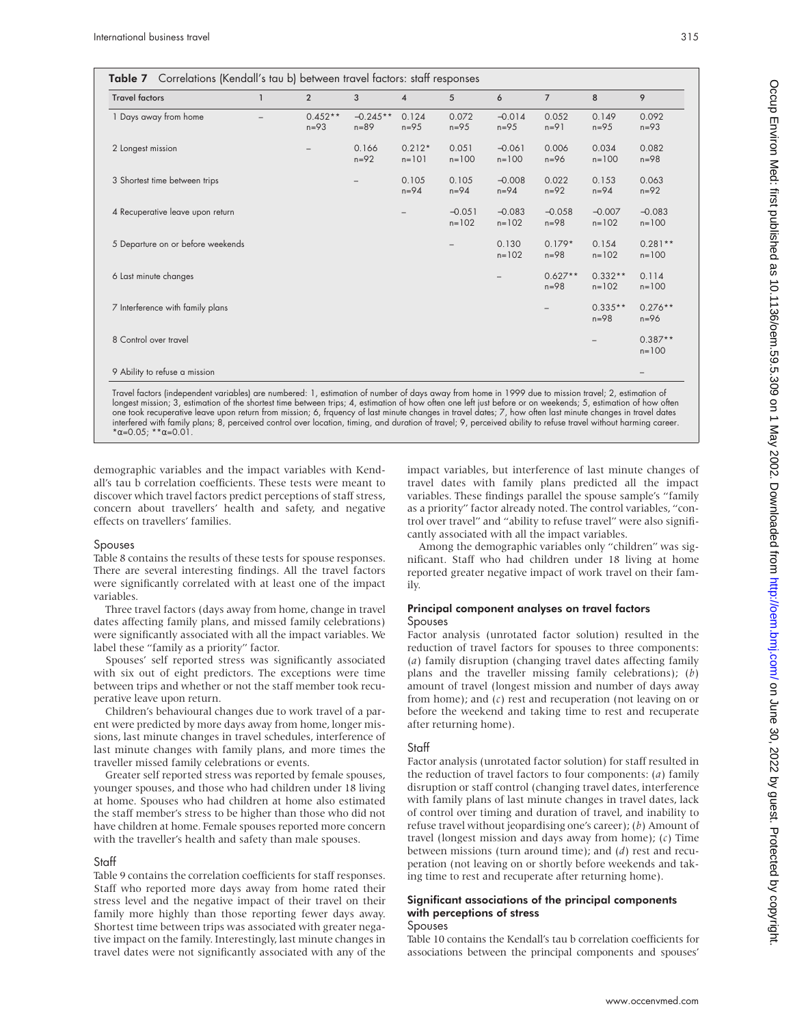| <b>Travel factors</b>             | $\overline{2}$        | 3                      | $\overline{\mathbf{4}}$ | $5\overline{)}$       | 6                     | $\overline{7}$        | 8                      | 9                      |
|-----------------------------------|-----------------------|------------------------|-------------------------|-----------------------|-----------------------|-----------------------|------------------------|------------------------|
| 1 Days away from home             | $0.452**$<br>$n = 93$ | $-0.245**$<br>$n = 89$ | 0.124<br>$n = 95$       | 0.072<br>$n = 95$     | $-0.014$<br>$n = 95$  | 0.052<br>$n = 91$     | 0.149<br>$n = 95$      | 0.092<br>$n = 93$      |
| 2 Longest mission                 |                       | 0.166<br>$n = 92$      | $0.212*$<br>$n = 101$   | 0.051<br>$n = 100$    | $-0.061$<br>$n = 100$ | 0.006<br>$n = 96$     | 0.034<br>$n = 100$     | 0.082<br>$n = 98$      |
| 3 Shortest time between trips     |                       | $\qquad \qquad -$      | 0.105<br>$n = 94$       | 0.105<br>$n = 94$     | $-0.008$<br>$n = 94$  | 0.022<br>$n = 92$     | 0.153<br>$n = 94$      | 0.063<br>$n = 92$      |
| 4 Recuperative leave upon return  |                       |                        |                         | $-0.051$<br>$n = 102$ | $-0.083$<br>$n = 102$ | $-0.058$<br>$n = 98$  | $-0.007$<br>$n = 102$  | $-0.083$<br>$n = 100$  |
| 5 Departure on or before weekends |                       |                        |                         |                       | 0.130<br>$n = 102$    | $0.179*$<br>$n = 98$  | 0.154<br>$n = 102$     | $0.281**$<br>$n = 100$ |
| 6 Last minute changes             |                       |                        |                         |                       |                       | $0.627**$<br>$n = 98$ | $0.332**$<br>$n = 102$ | 0.114<br>$n = 100$     |
| 7 Interference with family plans  |                       |                        |                         |                       |                       |                       | $0.335**$<br>$n = 98$  | $0.276**$<br>$n = 96$  |
| 8 Control over travel             |                       |                        |                         |                       |                       |                       |                        | $0.387**$<br>$n = 100$ |
| 9 Ability to refuse a mission     |                       |                        |                         |                       |                       |                       |                        |                        |

demographic variables and the impact variables with Kend- $*\alpha = 0.05$ ;  $*\alpha = 0.01$ 

all's tau b correlation coefficients. These tests were meant to discover which travel factors predict perceptions of staff stress, concern about travellers' health and safety, and negative effects on travellers' families.

#### Spouses

Table 8 contains the results of these tests for spouse responses. There are several interesting findings. All the travel factors were significantly correlated with at least one of the impact variables.

Three travel factors (days away from home, change in travel dates affecting family plans, and missed family celebrations) were significantly associated with all the impact variables. We label these "family as a priority" factor.

Spouses' self reported stress was significantly associated with six out of eight predictors. The exceptions were time between trips and whether or not the staff member took recuperative leave upon return.

Children's behavioural changes due to work travel of a parent were predicted by more days away from home, longer missions, last minute changes in travel schedules, interference of last minute changes with family plans, and more times the traveller missed family celebrations or events.

Greater self reported stress was reported by female spouses, younger spouses, and those who had children under 18 living at home. Spouses who had children at home also estimated the staff member's stress to be higher than those who did not have children at home. Female spouses reported more concern with the traveller's health and safety than male spouses.

### Staff

Table 9 contains the correlation coefficients for staff responses. Staff who reported more days away from home rated their stress level and the negative impact of their travel on their family more highly than those reporting fewer days away. Shortest time between trips was associated with greater negative impact on the family. Interestingly, last minute changes in travel dates were not significantly associated with any of the

impact variables, but interference of last minute changes of travel dates with family plans predicted all the impact variables. These findings parallel the spouse sample's "family as a priority" factor already noted. The control variables, "control over travel" and "ability to refuse travel" were also significantly associated with all the impact variables.

Among the demographic variables only "children" was significant. Staff who had children under 18 living at home reported greater negative impact of work travel on their family.

### Principal component analyses on travel factors Spouses

Factor analysis (unrotated factor solution) resulted in the reduction of travel factors for spouses to three components: (*a*) family disruption (changing travel dates affecting family plans and the traveller missing family celebrations); (*b*) amount of travel (longest mission and number of days away from home); and (*c*) rest and recuperation (not leaving on or before the weekend and taking time to rest and recuperate after returning home).

### Staff

Factor analysis (unrotated factor solution) for staff resulted in the reduction of travel factors to four components: (*a*) family disruption or staff control (changing travel dates, interference with family plans of last minute changes in travel dates, lack of control over timing and duration of travel, and inability to refuse travel without jeopardising one's career); (*b*) Amount of travel (longest mission and days away from home); (*c*) Time between missions (turn around time); and (*d*) rest and recuperation (not leaving on or shortly before weekends and taking time to rest and recuperate after returning home).

#### Significant associations of the principal components with perceptions of stress Spouses

Table 10 contains the Kendall's tau b correlation coefficients for associations between the principal components and spouses'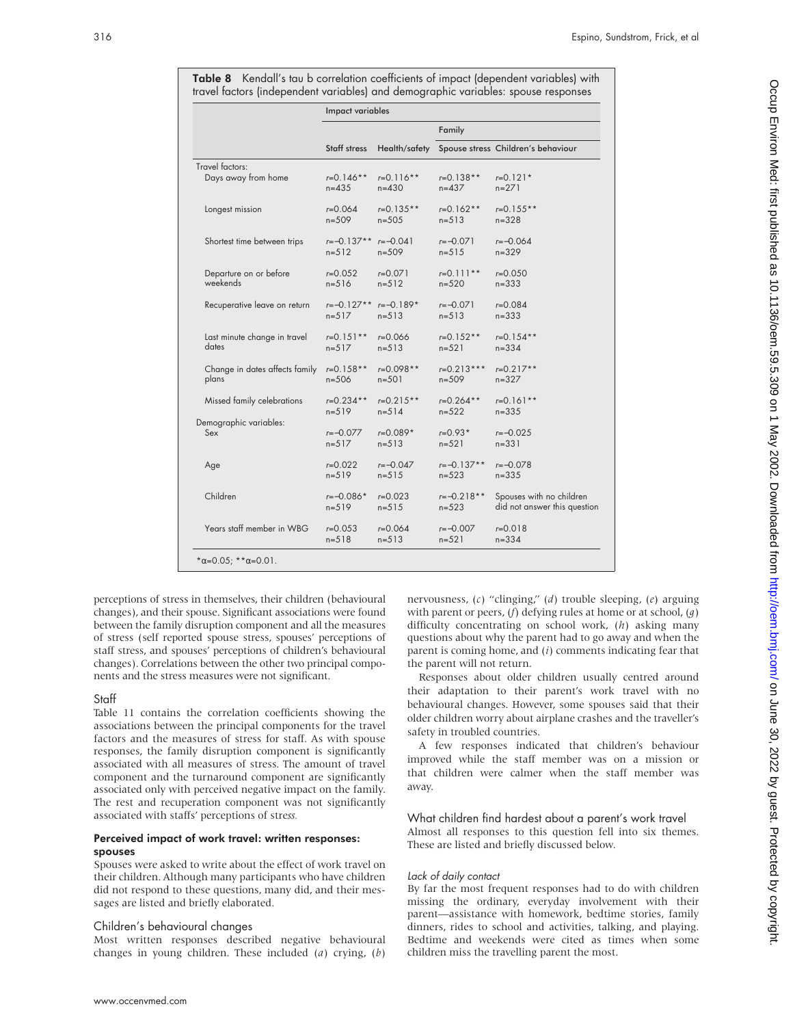Table 8 Kendall's tau b correlation coefficients of impact (dependent variables) with travel factors (independent variables) and demographic variables: spouse responses

|                                       | Impact variables    |               |                |                                    |
|---------------------------------------|---------------------|---------------|----------------|------------------------------------|
|                                       |                     |               | Family         |                                    |
|                                       | <b>Staff stress</b> | Health/safety |                | Spouse stress Children's behaviour |
| Travel factors:                       | $r=0.146**$         | $r=0.116**$   | $r = 0.138**$  | $r=0.121*$                         |
| Days away from home                   | $n = 4.3.5$         | $n = 430$     | $n = 437$      | $n=271$                            |
| Longest mission                       | $r = 0.064$         | $r=0.135**$   | $r=0.162**$    | $r=0.155**$                        |
|                                       | $n = 509$           | $n = 505$     | $n = 513$      | $n = 328$                          |
| Shortest time between trips           | $r=-0.137**$        | $r=-0.041$    | $r=-0.071$     | $r=-0.064$                         |
|                                       | $n = 512$           | $n = 509$     | $n = 515$      | $n = 329$                          |
| Departure on or before                | $r = 0.052$         | $r = 0.071$   | $r=0.111**$    | $r = 0.050$                        |
| weekends                              | $n = 516$           | $n = 512$     | $n = 520$      | $n = 333$                          |
| Recuperative leave on return          | $r=-0.127**$        | $r=-0.189*$   | $r=-0.071$     | $r = 0.084$                        |
|                                       | $n = 517$           | $n = 513$     | $n = 513$      | $n = 333$                          |
| Last minute change in travel          | $r=0.151**$         | $r = 0.066$   | $r=0.152**$    | $r=0.154**$                        |
| dates                                 | $n = 517$           | $n = 513$     | $n = 521$      | $n = 334$                          |
| Change in dates affects family        | $r = 0.158**$       | $r=0.098**$   | $r = 0.213***$ | $r=0.217**$                        |
| plans                                 | $n = 506$           | $n = 501$     | $n = 509$      | $n = 327$                          |
| Missed family celebrations            | $r=0.234**$         | $r=0.215**$   | $r=0.264**$    | $r=0.161**$                        |
|                                       | $n = 519$           | $n = 514$     | $n = 522$      | $n = 335$                          |
| Demographic variables:                | $r=-0.077$          | $r = 0.089*$  | $r = 0.93*$    | $r=-0.025$                         |
| Sex                                   | $n = 517$           | $n = 513$     | $n = 521$      | $n = 331$                          |
| Age                                   | $r = 0.022$         | $r=-0.047$    | $r=-0.137**$   | $r=-0.078$                         |
|                                       | $n = 519$           | $n = 515$     | $n = 523$      | $n = 335$                          |
| Children                              | $r=-0.086*$         | $r = 0.023$   | $r=-0.218**$   | Spouses with no children           |
|                                       | $n = 519$           | $n = 515$     | $n = 523$      | did not answer this question       |
| Years staff member in WBG             | $r = 0.053$         | $r = 0.064$   | $r=-0.007$     | $r = 0.018$                        |
|                                       | $n = 518$           | $n = 513$     | $n = 521$      | $n = 334$                          |
| $*\alpha = 0.05$ : $*\alpha = 0.01$ . |                     |               |                |                                    |

perceptions of stress in themselves, their children (behavioural changes), and their spouse. Significant associations were found between the family disruption component and all the measures of stress (self reported spouse stress, spouses' perceptions of staff stress, and spouses' perceptions of children's behavioural changes). Correlations between the other two principal components and the stress measures were not significant.

### Staff

Table 11 contains the correlation coefficients showing the associations between the principal components for the travel factors and the measures of stress for staff. As with spouse responses, the family disruption component is significantly associated with all measures of stress. The amount of travel component and the turnaround component are significantly associated only with perceived negative impact on the family. The rest and recuperation component was not significantly associated with staffs' perceptions of stre*ss.*

### Perceived impact of work travel: written responses: spouses

Spouses were asked to write about the effect of work travel on their children. Although many participants who have children did not respond to these questions, many did, and their messages are listed and briefly elaborated.

### Children's behavioural changes

Most written responses described negative behavioural changes in young children. These included (*a*) crying, (*b*)

nervousness, (*c*) "clinging," (*d*) trouble sleeping, (*e*) arguing with parent or peers, (*f*) defying rules at home or at school, (*g*) difficulty concentrating on school work, (*h*) asking many questions about why the parent had to go away and when the parent is coming home, and (*i*) comments indicating fear that the parent will not return.

Responses about older children usually centred around their adaptation to their parent's work travel with no behavioural changes. However, some spouses said that their older children worry about airplane crashes and the traveller's safety in troubled countries.

A few responses indicated that children's behaviour improved while the staff member was on a mission or that children were calmer when the staff member was away.

What children find hardest about a parent's work travel Almost all responses to this question fell into six themes. These are listed and briefly discussed below.

### Lack of daily contact

By far the most frequent responses had to do with children missing the ordinary, everyday involvement with their parent—assistance with homework, bedtime stories, family dinners, rides to school and activities, talking, and playing. Bedtime and weekends were cited as times when some children miss the travelling parent the most.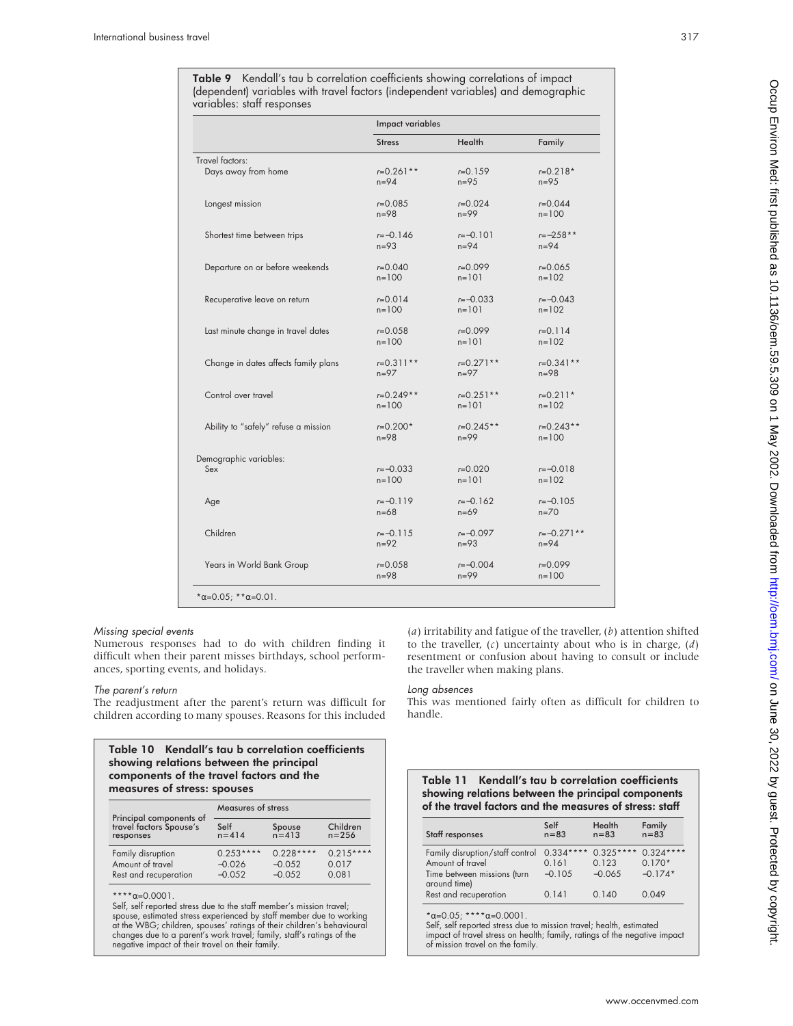Table 9 Kendall's tau b correlation coefficients showing correlations of impact (dependent) variables with travel factors (independent variables) and demographic variables: staff responses

|                                      | <b>Impact variables</b> |               |               |  |  |
|--------------------------------------|-------------------------|---------------|---------------|--|--|
|                                      | <b>Stress</b>           | Health        | Family        |  |  |
| Travel factors:                      |                         |               |               |  |  |
| Days away from home                  | $r=0.261**$             | $r = 0.159$   | $r=0.218*$    |  |  |
|                                      | $n = 94$                | $n = 95$      | $n = 95$      |  |  |
| Longest mission                      | $r = 0.085$             | $r = 0.024$   | $r = 0.044$   |  |  |
|                                      | $n = 98$                | $n = 99$      | $n = 100$     |  |  |
| Shortest time between trips          | $r=-0.146$              | $r=-0.101$    | $r = -258$ ** |  |  |
|                                      | $n = 93$                | $n = 94$      | $n = 94$      |  |  |
| Departure on or before weekends      | $r = 0.040$             | $r = 0.099$   | $r = 0.065$   |  |  |
|                                      | $n = 100$               | $n = 101$     | $n = 102$     |  |  |
| Recuperative leave on return         | $r = 0.014$             | $r=-0.033$    | $r=-0.043$    |  |  |
|                                      | $n = 100$               | $n = 101$     | $n = 102$     |  |  |
| Last minute change in travel dates   | $r = 0.058$             | $r = 0.099$   | $r=0.114$     |  |  |
|                                      | $n = 100$               | $n = 101$     | $n = 102$     |  |  |
| Change in dates affects family plans | $r=0.311**$             | $r=0.271**$   | $r=0.341**$   |  |  |
|                                      | $n = 97$                | $n = 97$      | $n = 98$      |  |  |
| Control over travel                  | $r=0.249**$             | $r=0.251**$   | $r=0.211*$    |  |  |
|                                      | $n = 100$               | $n = 101$     | $n = 102$     |  |  |
| Ability to "safely" refuse a mission | $r = 0.200*$            | $r = 0.245**$ | $r=0.243**$   |  |  |
|                                      | $n = 98$                | $n = 99$      | $n = 100$     |  |  |
| Demographic variables:               |                         |               |               |  |  |
| Sex                                  | $r=-0.033$              | $r = 0.020$   | $r=-0.018$    |  |  |
|                                      | $n = 100$               | $n = 101$     | $n = 102$     |  |  |
| Age                                  | $r=-0.119$              | $r=-0.162$    | $r=-0.105$    |  |  |
|                                      | $n = 68$                | $n = 69$      | $n = 70$      |  |  |
| Children                             | $r=-0.115$              | $r=-0.097$    | $r=-0.271**$  |  |  |
|                                      | $n = 92$                | $n = 93$      | $n = 94$      |  |  |
| Years in World Bank Group            | $r = 0.058$             | $r=-0.004$    | $r = 0.099$   |  |  |
|                                      | $n = 98$                | $n = 99$      | $n = 100$     |  |  |

#### Missing special events

Numerous responses had to do with children finding it difficult when their parent misses birthdays, school performances, sporting events, and holidays.

#### The parent's return

The readjustment after the parent's return was difficult for children according to many spouses. Reasons for this included

Table 10 Kendall's tau b correlation coefficients showing relations between the principal components of the travel factors and the measures of stress: spouses

|                                                    | Measures of stress |            |            |  |  |  |
|----------------------------------------------------|--------------------|------------|------------|--|--|--|
| Principal components of<br>travel factors Spouse's | Self               | Spouse     | Children   |  |  |  |
| responses                                          | $n = 414$          | $n = 413$  | $n = 256$  |  |  |  |
| Family disruption                                  | $0.253***$         | $0.228***$ | $0.215***$ |  |  |  |
| Amount of travel                                   | $-0.026$           | $-0.052$   | 0.017      |  |  |  |
| Rest and recuperation                              | $-0.052$           | $-0.052$   | 0.081      |  |  |  |

 $***\alpha=0.0001$ .

Self, self reported stress due to the staff member's mission travel; spouse, estimated stress experienced by staff member due to working at the WBG; children, spouses' ratings of their children's behavioural changes due to a parent's work travel; family, staff's ratings of the negative impact of their travel on their family. (*a*) irritability and fatigue of the traveller, (*b*) attention shifted to the traveller, (*c*) uncertainty about who is in charge, (*d*) resentment or confusion about having to consult or include the traveller when making plans.

### Long absences

This was mentioned fairly often as difficult for children to handle.

| Table 11 Kendall's tay b correlation coefficients<br>showing relations between the principal components<br>of the travel factors and the measures of stress: staff |                  |                    |                    |  |  |  |
|--------------------------------------------------------------------------------------------------------------------------------------------------------------------|------------------|--------------------|--------------------|--|--|--|
| Staff responses                                                                                                                                                    | Self<br>$n = 83$ | Health<br>$n = 83$ | Family<br>$n = 83$ |  |  |  |
| Family disruption/staff control                                                                                                                                    | $0.334***$       | $0.325***$         | $0.324***$         |  |  |  |
| Amount of travel                                                                                                                                                   | 0.161            | 0.123              | $0.170*$           |  |  |  |
| Time between missions (turn<br>around time)                                                                                                                        | $-0.105$         | $-0.065$           | $-0.174*$          |  |  |  |
| Rest and recuperation                                                                                                                                              | 0.141            | 0.140              | 0.049              |  |  |  |

 $\alpha$ =0.05; \*\*\*\* $\alpha$ =0.0001.

Self, self reported stress due to mission travel; health, estimated impact of travel stress on health; family, ratings of the negative impact of mission travel on the family.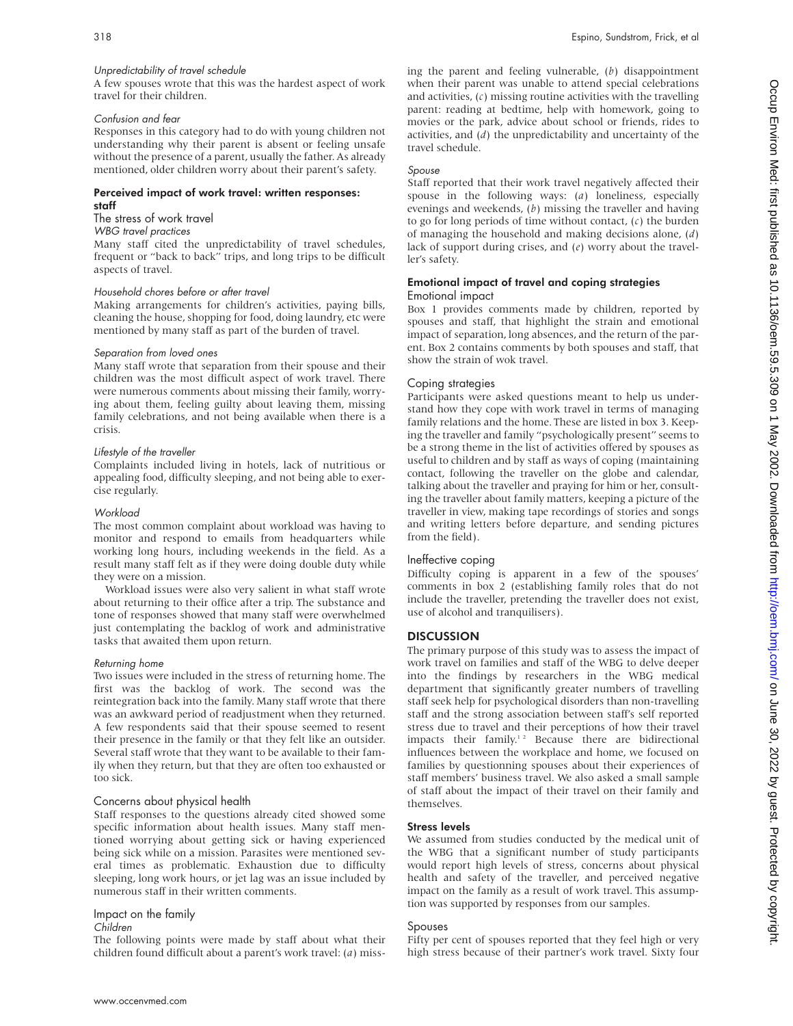### Unpredictability of travel schedule

A few spouses wrote that this was the hardest aspect of work travel for their children.

#### Confusion and fear

Responses in this category had to do with young children not understanding why their parent is absent or feeling unsafe without the presence of a parent, usually the father. As already mentioned, older children worry about their parent's safety.

### Perceived impact of work travel: written responses: staff

The stress of work travel

WBG travel practices

Many staff cited the unpredictability of travel schedules, frequent or "back to back" trips, and long trips to be difficult aspects of travel.

#### Household chores before or after travel

Making arrangements for children's activities, paying bills, cleaning the house, shopping for food, doing laundry, etc were mentioned by many staff as part of the burden of travel.

#### Separation from loved ones

Many staff wrote that separation from their spouse and their children was the most difficult aspect of work travel. There were numerous comments about missing their family, worrying about them, feeling guilty about leaving them, missing family celebrations, and not being available when there is a crisis.

#### Lifestyle of the traveller

Complaints included living in hotels, lack of nutritious or appealing food, difficulty sleeping, and not being able to exercise regularly.

#### Workload

The most common complaint about workload was having to monitor and respond to emails from headquarters while working long hours, including weekends in the field. As a result many staff felt as if they were doing double duty while they were on a mission.

Workload issues were also very salient in what staff wrote about returning to their office after a trip. The substance and tone of responses showed that many staff were overwhelmed just contemplating the backlog of work and administrative tasks that awaited them upon return.

#### Returning home

Two issues were included in the stress of returning home. The first was the backlog of work. The second was the reintegration back into the family. Many staff wrote that there was an awkward period of readjustment when they returned. A few respondents said that their spouse seemed to resent their presence in the family or that they felt like an outsider. Several staff wrote that they want to be available to their family when they return, but that they are often too exhausted or too sick.

### Concerns about physical health

Staff responses to the questions already cited showed some specific information about health issues. Many staff mentioned worrying about getting sick or having experienced being sick while on a mission. Parasites were mentioned several times as problematic. Exhaustion due to difficulty sleeping, long work hours, or jet lag was an issue included by numerous staff in their written comments.

#### Impact on the family Children

The following points were made by staff about what their children found difficult about a parent's work travel: (*a*) missing the parent and feeling vulnerable, (*b*) disappointment when their parent was unable to attend special celebrations and activities, (*c*) missing routine activities with the travelling parent: reading at bedtime, help with homework, going to movies or the park, advice about school or friends, rides to activities, and (*d*) the unpredictability and uncertainty of the travel schedule.

#### Spouse

Staff reported that their work travel negatively affected their spouse in the following ways: (*a*) loneliness, especially evenings and weekends, (*b*) missing the traveller and having to go for long periods of time without contact, (*c*) the burden of managing the household and making decisions alone, (*d*) lack of support during crises, and (*e*) worry about the traveller's safety.

#### Emotional impact of travel and coping strategies Emotional impact

Box 1 provides comments made by children, reported by spouses and staff, that highlight the strain and emotional impact of separation, long absences, and the return of the parent. Box 2 contains comments by both spouses and staff, that show the strain of wok travel.

#### Coping strategies

Participants were asked questions meant to help us understand how they cope with work travel in terms of managing family relations and the home. These are listed in box 3. Keeping the traveller and family "psychologically present" seems to be a strong theme in the list of activities offered by spouses as useful to children and by staff as ways of coping (maintaining contact, following the traveller on the globe and calendar, talking about the traveller and praying for him or her, consulting the traveller about family matters, keeping a picture of the traveller in view, making tape recordings of stories and songs and writing letters before departure, and sending pictures from the field).

### Ineffective coping

Difficulty coping is apparent in a few of the spouses' comments in box 2 (establishing family roles that do not include the traveller, pretending the traveller does not exist, use of alcohol and tranquilisers).

### **DISCUSSION**

The primary purpose of this study was to assess the impact of work travel on families and staff of the WBG to delve deeper into the findings by researchers in the WBG medical department that significantly greater numbers of travelling staff seek help for psychological disorders than non-travelling staff and the strong association between staff's self reported stress due to travel and their perceptions of how their travel impacts their family.<sup>12</sup> Because there are bidirectional influences between the workplace and home, we focused on families by questionning spouses about their experiences of staff members' business travel. We also asked a small sample of staff about the impact of their travel on their family and themselves.

#### Stress levels

We assumed from studies conducted by the medical unit of the WBG that a significant number of study participants would report high levels of stress, concerns about physical health and safety of the traveller, and perceived negative impact on the family as a result of work travel. This assumption was supported by responses from our samples.

#### Spouses

Fifty per cent of spouses reported that they feel high or very high stress because of their partner's work travel. Sixty four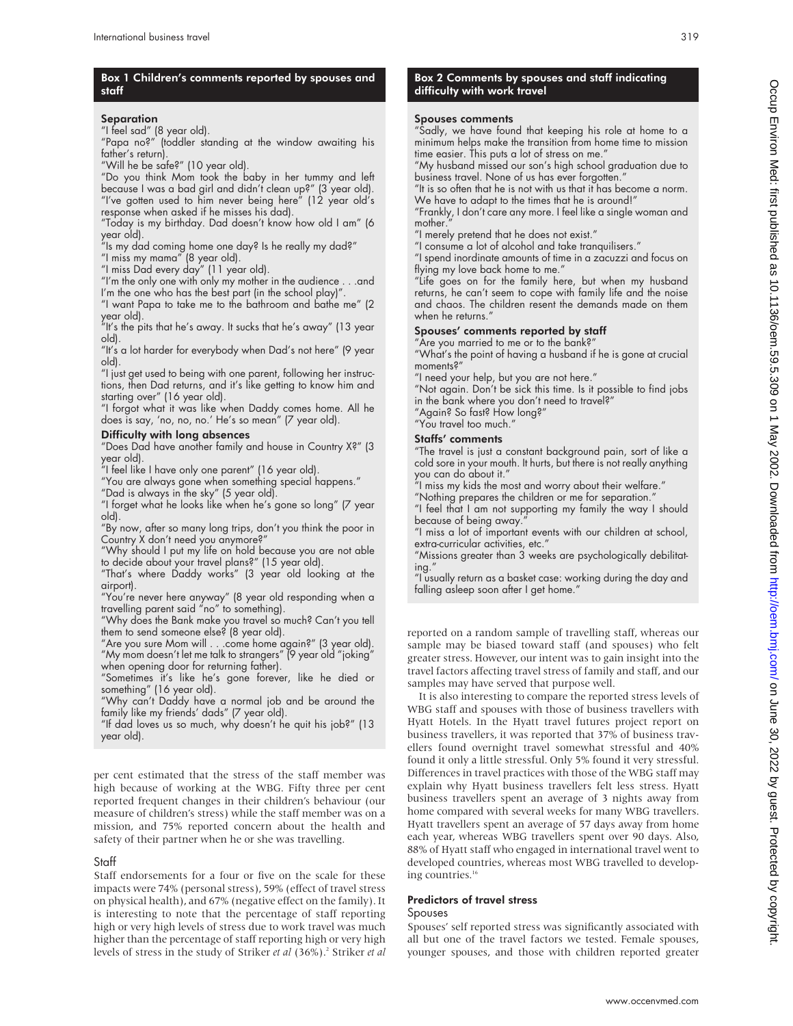### Box 1 Children's comments reported by spouses and staff

#### Separation

"I feel sad" (8 year old).

"Papa no?" (toddler standing at the window awaiting his father's return).

"Will he be safe?" (10 year old).

"Do you think Mom took the baby in her tummy and left because I was a bad girl and didn't clean up?" (3 year old). "I've gotten used to him never being here" (12 year old's response when asked if he misses his dad).

"Today is my birthday. Dad doesn't know how old I am" (6 year old).

"Is my dad coming home one day? Is he really my dad?"

"I miss my mama" (8 year old).

"I miss Dad every day" (11 year old).

"I'm the only one with only my mother in the audience . . .and I'm the one who has the best part (in the school play)".

"I want Papa to take me to the bathroom and bathe me" (2 year old).

"It's the pits that he's away. It sucks that he's away" (13 year old).

"It's a lot harder for everybody when Dad's not here" (9 year old).

"I just get used to being with one parent, following her instructions, then Dad returns, and it's like getting to know him and starting over" (16 year old).

"I forgot what it was like when Daddy comes home. All he does is say, 'no, no, no.' He's so mean" (7 year old).

#### Difficulty with long absences

"Does Dad have another family and house in Country X?" (3 year old).

"I feel like I have only one parent" (16 year old).

"You are always gone when something special happens."

"Dad is always in the sky" (5 year old).

"I forget what he looks like when he's gone so long" (7 year old).

"By now, after so many long trips, don't you think the poor in Country X don't need you anymore?"

"Why should I put my life on hold because you are not able to decide about your travel plans?" (15 year old).

"That's where Daddy works" (3 year old looking at the airport).

"You're never here anyway" (8 year old responding when a travelling parent said "no" to something).

"Why does the Bank make you travel so much? Can't you tell them to send someone else? (8 year old).

"Are you sure Mom will . . .come home again?" (3 year old). "My mom doesn't let me talk to strangers" (9 year old "joking" when opening door for returning father).

"Sometimes it's like he's gone forever, like he died or something" (16 year old).

"Why can't Daddy have a normal job and be around the family like my friends' dads" (7 year old).

"If dad loves us so much, why doesn't he quit his job?" (13 year old).

per cent estimated that the stress of the staff member was high because of working at the WBG. Fifty three per cent reported frequent changes in their children's behaviour (our measure of children's stress) while the staff member was on a mission, and 75% reported concern about the health and safety of their partner when he or she was travelling.

#### Staff

Staff endorsements for a four or five on the scale for these impacts were 74% (personal stress), 59% (effect of travel stress on physical health), and 67% (negative effect on the family). It is interesting to note that the percentage of staff reporting high or very high levels of stress due to work travel was much higher than the percentage of staff reporting high or very high levels of stress in the study of Striker *et al* (36%).2 Striker *et al*

### Box 2 Comments by spouses and staff indicating difficulty with work travel

#### Spouses comments

"Sadly, we have found that keeping his role at home to a minimum helps make the transition from home time to mission time easier. This puts a lot of stress on me."

"My husband missed our son's high school graduation due to business travel. None of us has ever forgotten.'

"It is so often that he is not with us that it has become a norm. We have to adapt to the times that he is around!"

"Frankly, I don't care any more. I feel like a single woman and mother.

"I merely pretend that he does not exist."

"I consume a lot of alcohol and take tranquilisers."

"I spend inordinate amounts of time in a zacuzzi and focus on flying my love back home to me."

"Life goes on for the family here, but when my husband returns, he can't seem to cope with family life and the noise and chaos. The children resent the demands made on them when he returns.'

#### Spouses' comments reported by staff

"Are you married to me or to the bank?"

"What's the point of having a husband if he is gone at crucial moments?"

"I need your help, but you are not here."

"Not again. Don't be sick this time. Is it possible to find jobs

in the bank where you don't need to travel?"

"Again? So fast? How long?"

"You travel too much."

### Staffs' comments

"The travel is just a constant background pain, sort of like a cold sore in your mouth. It hurts, but there is not really anything you can do about it."

 $\mathrm{^{\prime\prime}}$ I miss my kids the most and worry about their welfare. $\mathrm{^{\prime\prime}}$ 

"Nothing prepares the children or me for separation."

"I feel that I am not supporting my family the way I should because of being away.

"I miss a lot of important events with our children at school, extra-curricular activities, etc.'

"Missions greater than 3 weeks are psychologically debilitating."

"I usually return as a basket case: working during the day and falling asleep soon after I get home."

reported on a random sample of travelling staff, whereas our sample may be biased toward staff (and spouses) who felt greater stress. However, our intent was to gain insight into the travel factors affecting travel stress of family and staff, and our samples may have served that purpose well.

It is also interesting to compare the reported stress levels of WBG staff and spouses with those of business travellers with Hyatt Hotels. In the Hyatt travel futures project report on business travellers, it was reported that 37% of business travellers found overnight travel somewhat stressful and 40% found it only a little stressful. Only 5% found it very stressful. Differences in travel practices with those of the WBG staff may explain why Hyatt business travellers felt less stress. Hyatt business travellers spent an average of 3 nights away from home compared with several weeks for many WBG travellers. Hyatt travellers spent an average of 57 days away from home each year, whereas WBG travellers spent over 90 days. Also, 88% of Hyatt staff who engaged in international travel went to developed countries, whereas most WBG travelled to developing countries.<sup>16</sup>

### Predictors of travel stress

### Spouses

Spouses' self reported stress was significantly associated with all but one of the travel factors we tested. Female spouses, younger spouses, and those with children reported greater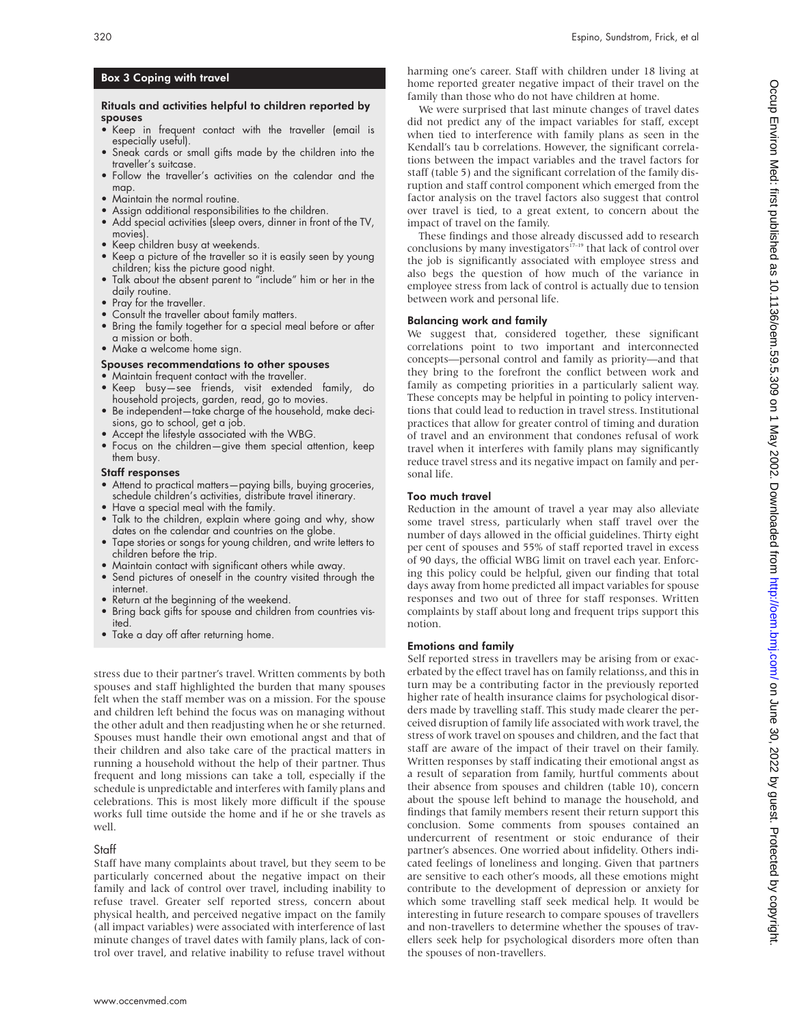### Box 3 Coping with travel

### Rituals and activities helpful to children reported by spouses

- Keep in frequent contact with the traveller (email is especially useful).
- Sneak cards or small gifts made by the children into the traveller's suitcase.
- Follow the traveller's activities on the calendar and the map.
- Maintain the normal routine.
- Assign additional responsibilities to the children.
- Add special activities (sleep overs, dinner in front of the TV, movies).
- Keep children busy at weekends.
- Keep a picture of the traveller so it is easily seen by young children; kiss the picture good night.
- Talk about the absent parent to "include" him or her in the daily routine.
- Pray for the traveller.
- Consult the traveller about family matters.
- Bring the family together for a special meal before or after a mission or both.
- Make a welcome home sign.

#### Spouses recommendations to other spouses

- Maintain frequent contact with the traveller. Keep busy-see friends, visit extended family, do household projects, garden, read, go to movies.
- Be independent—take charge of the household, make decisions, go to school, get a job.
- Accept the lifestyle associated with the WBG.
- Focus on the children—give them special attention, keep them busy.

#### Staff responses

- Attend to practical matters—paying bills, buying groceries, schedule children's activities, distribute travel itinerary.
- Have a special meal with the family. • Talk to the children, explain where going and why, show
- dates on the calendar and countries on the globe. • Tape stories or songs for young children, and write letters to children before the trip.
- Maintain contact with significant others while away.
- Send pictures of oneself in the country visited through the internet.
- Return at the beginning of the weekend.
- Bring back gifts for spouse and children from countries visited.
- Take a day off after returning home.

stress due to their partner's travel. Written comments by both spouses and staff highlighted the burden that many spouses felt when the staff member was on a mission. For the spouse and children left behind the focus was on managing without the other adult and then readjusting when he or she returned. Spouses must handle their own emotional angst and that of their children and also take care of the practical matters in running a household without the help of their partner. Thus frequent and long missions can take a toll, especially if the schedule is unpredictable and interferes with family plans and celebrations. This is most likely more difficult if the spouse works full time outside the home and if he or she travels as well.

### Statt

Staff have many complaints about travel, but they seem to be particularly concerned about the negative impact on their family and lack of control over travel, including inability to refuse travel. Greater self reported stress, concern about physical health, and perceived negative impact on the family (all impact variables) were associated with interference of last minute changes of travel dates with family plans, lack of control over travel, and relative inability to refuse travel without

We were surprised that last minute changes of travel dates did not predict any of the impact variables for staff, except when tied to interference with family plans as seen in the Kendall's tau b correlations. However, the significant correlations between the impact variables and the travel factors for staff (table 5) and the significant correlation of the family disruption and staff control component which emerged from the factor analysis on the travel factors also suggest that control over travel is tied, to a great extent, to concern about the impact of travel on the family.

These findings and those already discussed add to research conclusions by many investigators $17-19$  that lack of control over the job is significantly associated with employee stress and also begs the question of how much of the variance in employee stress from lack of control is actually due to tension between work and personal life.

### Balancing work and family

We suggest that, considered together, these significant correlations point to two important and interconnected concepts—personal control and family as priority—and that they bring to the forefront the conflict between work and family as competing priorities in a particularly salient way. These concepts may be helpful in pointing to policy interventions that could lead to reduction in travel stress. Institutional practices that allow for greater control of timing and duration of travel and an environment that condones refusal of work travel when it interferes with family plans may significantly reduce travel stress and its negative impact on family and personal life.

### Too much travel

Reduction in the amount of travel a year may also alleviate some travel stress, particularly when staff travel over the number of days allowed in the official guidelines. Thirty eight per cent of spouses and 55% of staff reported travel in excess of 90 days, the official WBG limit on travel each year. Enforcing this policy could be helpful, given our finding that total days away from home predicted all impact variables for spouse responses and two out of three for staff responses. Written complaints by staff about long and frequent trips support this notion.

### Emotions and family

Self reported stress in travellers may be arising from or exacerbated by the effect travel has on family relationss, and this in turn may be a contributing factor in the previously reported higher rate of health insurance claims for psychological disorders made by travelling staff. This study made clearer the perceived disruption of family life associated with work travel, the stress of work travel on spouses and children, and the fact that staff are aware of the impact of their travel on their family. Written responses by staff indicating their emotional angst as a result of separation from family, hurtful comments about their absence from spouses and children (table 10), concern about the spouse left behind to manage the household, and findings that family members resent their return support this conclusion. Some comments from spouses contained an undercurrent of resentment or stoic endurance of their partner's absences. One worried about infidelity. Others indicated feelings of loneliness and longing. Given that partners are sensitive to each other's moods, all these emotions might contribute to the development of depression or anxiety for which some travelling staff seek medical help. It would be interesting in future research to compare spouses of travellers and non-travellers to determine whether the spouses of travellers seek help for psychological disorders more often than the spouses of non-travellers.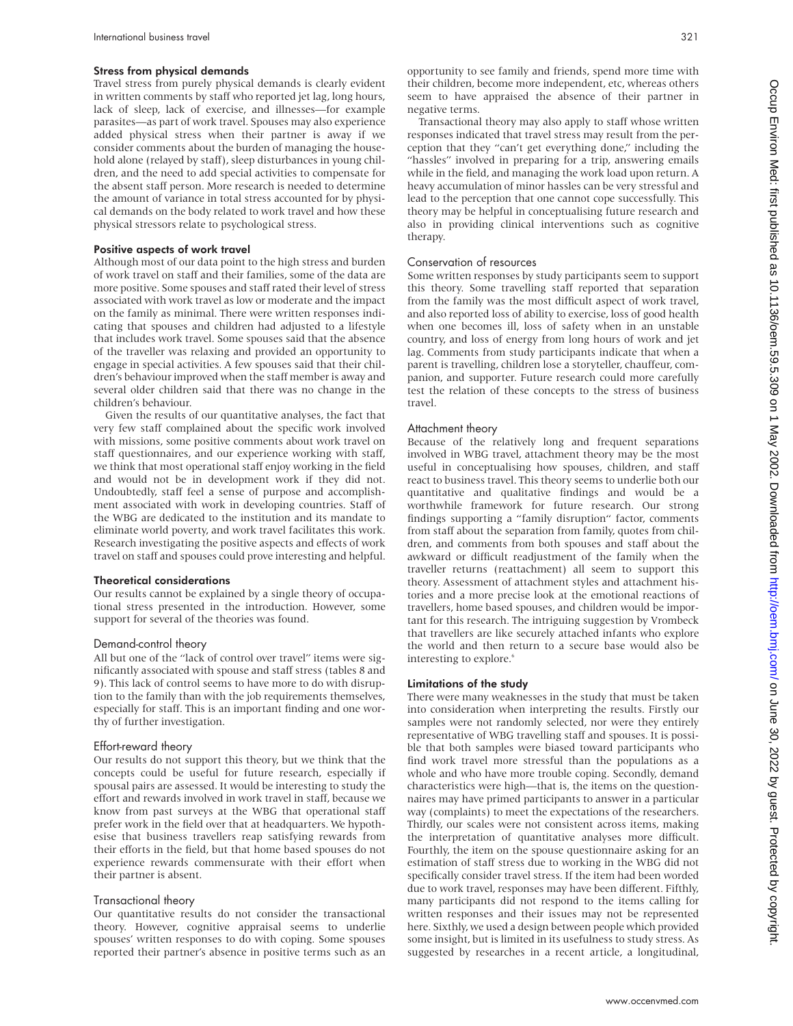#### Stress from physical demands

Travel stress from purely physical demands is clearly evident in written comments by staff who reported jet lag, long hours, lack of sleep, lack of exercise, and illnesses—for example parasites—as part of work travel. Spouses may also experience added physical stress when their partner is away if we consider comments about the burden of managing the household alone (relayed by staff), sleep disturbances in young children, and the need to add special activities to compensate for the absent staff person. More research is needed to determine the amount of variance in total stress accounted for by physical demands on the body related to work travel and how these physical stressors relate to psychological stress.

#### Positive aspects of work travel

Although most of our data point to the high stress and burden of work travel on staff and their families, some of the data are more positive. Some spouses and staff rated their level of stress associated with work travel as low or moderate and the impact on the family as minimal. There were written responses indicating that spouses and children had adjusted to a lifestyle that includes work travel. Some spouses said that the absence of the traveller was relaxing and provided an opportunity to engage in special activities. A few spouses said that their children's behaviour improved when the staff member is away and several older children said that there was no change in the children's behaviour.

Given the results of our quantitative analyses, the fact that very few staff complained about the specific work involved with missions, some positive comments about work travel on staff questionnaires, and our experience working with staff, we think that most operational staff enjoy working in the field and would not be in development work if they did not. Undoubtedly, staff feel a sense of purpose and accomplishment associated with work in developing countries. Staff of the WBG are dedicated to the institution and its mandate to eliminate world poverty, and work travel facilitates this work. Research investigating the positive aspects and effects of work travel on staff and spouses could prove interesting and helpful.

#### Theoretical considerations

Our results cannot be explained by a single theory of occupational stress presented in the introduction. However, some support for several of the theories was found.

#### Demand-control theory

All but one of the "lack of control over travel" items were significantly associated with spouse and staff stress (tables 8 and 9). This lack of control seems to have more to do with disruption to the family than with the job requirements themselves, especially for staff. This is an important finding and one worthy of further investigation.

#### Effort-reward theory

Our results do not support this theory, but we think that the concepts could be useful for future research, especially if spousal pairs are assessed. It would be interesting to study the effort and rewards involved in work travel in staff, because we know from past surveys at the WBG that operational staff prefer work in the field over that at headquarters. We hypothesise that business travellers reap satisfying rewards from their efforts in the field, but that home based spouses do not experience rewards commensurate with their effort when their partner is absent.

#### Transactional theory

Our quantitative results do not consider the transactional theory. However, cognitive appraisal seems to underlie spouses' written responses to do with coping. Some spouses reported their partner's absence in positive terms such as an

opportunity to see family and friends, spend more time with their children, become more independent, etc, whereas others seem to have appraised the absence of their partner in negative terms.

Transactional theory may also apply to staff whose written responses indicated that travel stress may result from the perception that they "can't get everything done," including the "hassles" involved in preparing for a trip, answering emails while in the field, and managing the work load upon return. A heavy accumulation of minor hassles can be very stressful and lead to the perception that one cannot cope successfully. This theory may be helpful in conceptualising future research and also in providing clinical interventions such as cognitive therapy.

#### Conservation of resources

Some written responses by study participants seem to support this theory. Some travelling staff reported that separation from the family was the most difficult aspect of work travel, and also reported loss of ability to exercise, loss of good health when one becomes ill, loss of safety when in an unstable country, and loss of energy from long hours of work and jet lag. Comments from study participants indicate that when a parent is travelling, children lose a storyteller, chauffeur, companion, and supporter. Future research could more carefully test the relation of these concepts to the stress of business travel.

#### Attachment theory

Because of the relatively long and frequent separations involved in WBG travel, attachment theory may be the most useful in conceptualising how spouses, children, and staff react to business travel. This theory seems to underlie both our quantitative and qualitative findings and would be a worthwhile framework for future research. Our strong findings supporting a "family disruption" factor, comments from staff about the separation from family, quotes from children, and comments from both spouses and staff about the awkward or difficult readjustment of the family when the traveller returns (reattachment) all seem to support this theory. Assessment of attachment styles and attachment histories and a more precise look at the emotional reactions of travellers, home based spouses, and children would be important for this research. The intriguing suggestion by Vrombeck that travellers are like securely attached infants who explore the world and then return to a secure base would also be interesting to explore.<sup>6</sup>

#### Limitations of the study

There were many weaknesses in the study that must be taken into consideration when interpreting the results. Firstly our samples were not randomly selected, nor were they entirely representative of WBG travelling staff and spouses. It is possible that both samples were biased toward participants who find work travel more stressful than the populations as a whole and who have more trouble coping. Secondly, demand characteristics were high—that is, the items on the questionnaires may have primed participants to answer in a particular way (complaints) to meet the expectations of the researchers. Thirdly, our scales were not consistent across items, making the interpretation of quantitative analyses more difficult. Fourthly, the item on the spouse questionnaire asking for an estimation of staff stress due to working in the WBG did not specifically consider travel stress. If the item had been worded due to work travel, responses may have been different. Fifthly, many participants did not respond to the items calling for written responses and their issues may not be represented here. Sixthly, we used a design between people which provided some insight, but is limited in its usefulness to study stress. As suggested by researches in a recent article, a longitudinal,